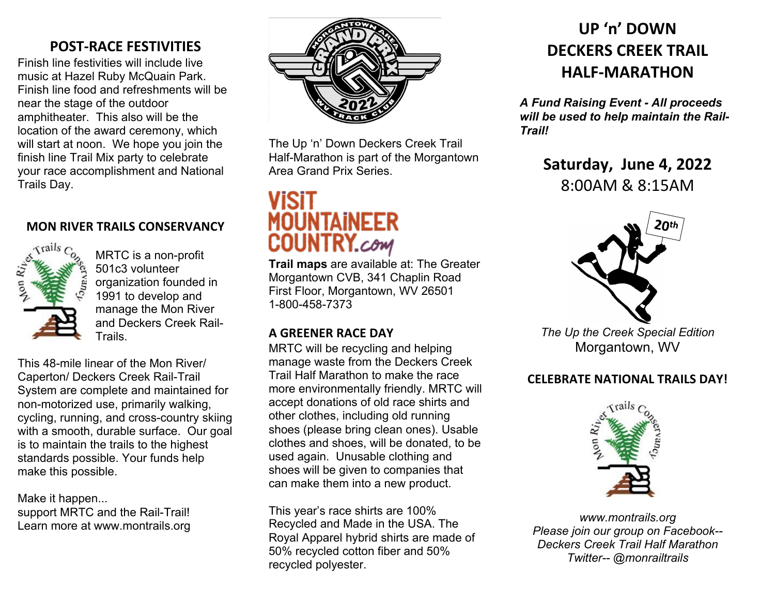# **POST-RACE FESTIVITIES**

Finish line festivities will include live music at Hazel Ruby McQuain Park. Finish line food and refreshments will be near the stage of the outdoor amphitheater. This also will be the location of the award ceremony, which will start at noon. We hope you join the finish line Trail Mix party to celebrate your race accomplishment and National Trails Day.

# **MON RIVER TRAILS CONSERVANCY**



MRTC is a non-profit 501c3 volunteer organization founded in 1991 to develop and manage the Mon River and Deckers Creek Rail-Trails.

This 48-mile linear of the Mon River/ Caperton/ Deckers Creek Rail-Trail System are complete and maintained for non-motorized use, primarily walking, cycling, running, and cross-country skiing with a smooth, durable surface. Our goal is to maintain the trails to the highest standards possible. Your funds help make this possible.

Make it happen... support MRTC and the Rail-Trail! Learn more at www.montrails.org



The Up 'n' Down Deckers Creek Trail Half-Marathon is part of the Morgantown Area Grand Prix Series.

# **VISIT MOUNTAINEER COUNTRY.com**

**Trail maps** are available at: The Greater Morgantown CVB, 341 Chaplin Road First Floor, Morgantown, WV 26501 1-800-458-7373

# **A GREENER RACE DAY**

MRTC will be recycling and helping manage waste from the Deckers Creek Trail Half Marathon to make the race more environmentally friendly. MRTC will accept donations of old race shirts and other clothes, including old running shoes (please bring clean ones). Usable clothes and shoes, will be donated, to be used again. Unusable clothing and shoes will be given to companies that can make them into a new product.

This year's race shirts are 100% Recycled and Made in the USA. The Royal Apparel hybrid shirts are made of 50% recycled cotton fiber and 50% recycled polyester.

# **UP 'n' DOWN DECKERS CREEK TRAIL HALF-MARATHON**

*A Fund Raising Event - All proceeds will be used to help maintain the Rail-Trail!*

> **Saturday, June 4, 2022** 8:00AM & 8:15AM



*The Up the Creek Special Edition* Morgantown, WV

# **CELEBRATE NATIONAL TRAILS DAY!**



*www.montrails.org Please join our group on Facebook-- Deckers Creek Trail Half Marathon Twitter-- @monrailtrails*